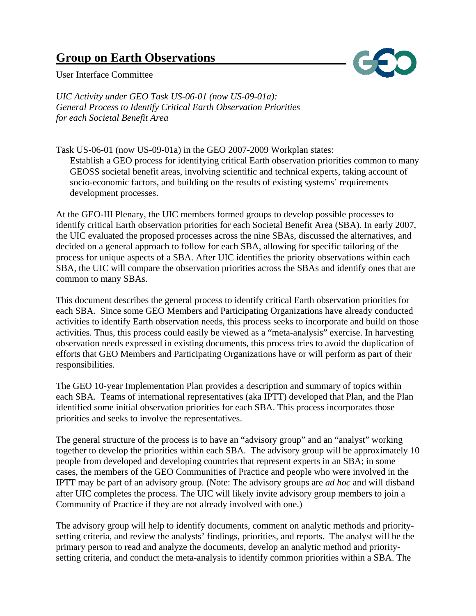# **Group on Earth Observations**



User Interface Committee

*UIC Activity under GEO Task US-06-01 (now US-09-01a): General Process to Identify Critical Earth Observation Priorities for each Societal Benefit Area* 

Task US-06-01 (now US-09-01a) in the GEO 2007-2009 Workplan states: Establish a GEO process for identifying critical Earth observation priorities common to many GEOSS societal benefit areas, involving scientific and technical experts, taking account of socio-economic factors, and building on the results of existing systems' requirements development processes.

At the GEO-III Plenary, the UIC members formed groups to develop possible processes to identify critical Earth observation priorities for each Societal Benefit Area (SBA). In early 2007, the UIC evaluated the proposed processes across the nine SBAs, discussed the alternatives, and decided on a general approach to follow for each SBA, allowing for specific tailoring of the process for unique aspects of a SBA. After UIC identifies the priority observations within each SBA, the UIC will compare the observation priorities across the SBAs and identify ones that are common to many SBAs.

This document describes the general process to identify critical Earth observation priorities for each SBA. Since some GEO Members and Participating Organizations have already conducted activities to identify Earth observation needs, this process seeks to incorporate and build on those activities. Thus, this process could easily be viewed as a "meta-analysis" exercise. In harvesting observation needs expressed in existing documents, this process tries to avoid the duplication of efforts that GEO Members and Participating Organizations have or will perform as part of their responsibilities.

The GEO 10-year Implementation Plan provides a description and summary of topics within each SBA. Teams of international representatives (aka IPTT) developed that Plan, and the Plan identified some initial observation priorities for each SBA. This process incorporates those priorities and seeks to involve the representatives.

The general structure of the process is to have an "advisory group" and an "analyst" working together to develop the priorities within each SBA. The advisory group will be approximately 10 people from developed and developing countries that represent experts in an SBA; in some cases, the members of the GEO Communities of Practice and people who were involved in the IPTT may be part of an advisory group. (Note: The advisory groups are *ad hoc* and will disband after UIC completes the process. The UIC will likely invite advisory group members to join a Community of Practice if they are not already involved with one.)

The advisory group will help to identify documents, comment on analytic methods and prioritysetting criteria, and review the analysts' findings, priorities, and reports. The analyst will be the primary person to read and analyze the documents, develop an analytic method and prioritysetting criteria, and conduct the meta-analysis to identify common priorities within a SBA. The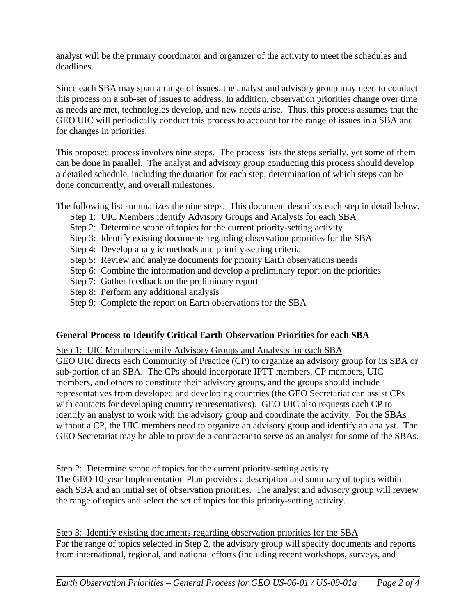analyst will be the primary coordinator and organizer of the activity to meet the schedules and deadlines.

Since each SBA may span a range of issues, the analyst and advisory group may need to conduct this process on a sub-set of issues to address. In addition, observation priorities change over time as needs are met, technologies develop, and new needs arise. Thus, this process assumes that the GEO UIC will periodically conduct this process to account for the range of issues in a SBA and for changes in priorities.

This proposed process involves nine steps. The process lists the steps serially, yet some of them can be done in parallel. The analyst and advisory group conducting this process should develop a detailed schedule, including the duration for each step, determination of which steps can be done concurrently, and overall milestones.

The following list summarizes the nine steps. This document describes each step in detail below.

- Step 1: UIC Members identify Advisory Groups and Analysts for each SBA
- Step 2: Determine scope of topics for the current priority-setting activity
- Step 3: Identify existing documents regarding observation priorities for the SBA
- Step 4: Develop analytic methods and priority-setting criteria
- Step 5: Review and analyze documents for priority Earth observations needs
- Step 6: Combine the information and develop a preliminary report on the priorities
- Step 7: Gather feedback on the preliminary report
- Step 8: Perform any additional analysis
- Step 9: Complete the report on Earth observations for the SBA

# **General Process to Identify Critical Earth Observation Priorities for each SBA**

Step 1: UIC Members identify Advisory Groups and Analysts for each SBA GEO UIC directs each Community of Practice (CP) to organize an advisory group for its SBA or sub-portion of an SBA. The CPs should incorporate IPTT members, CP members, UIC members, and others to constitute their advisory groups, and the groups should include representatives from developed and developing countries (the GEO Secretariat can assist CPs with contacts for developing country representatives). GEO UIC also requests each CP to identify an analyst to work with the advisory group and coordinate the activity. For the SBAs without a CP, the UIC members need to organize an advisory group and identify an analyst. The GEO Secretariat may be able to provide a contractor to serve as an analyst for some of the SBAs.

# Step 2: Determine scope of topics for the current priority-setting activity

The GEO 10-year Implementation Plan provides a description and summary of topics within each SBA and an initial set of observation priorities. The analyst and advisory group will review the range of topics and select the set of topics for this priority-setting activity.

Step 3: Identify existing documents regarding observation priorities for the SBA For the range of topics selected in Step 2, the advisory group will specify documents and reports from international, regional, and national efforts (including recent workshops, surveys, and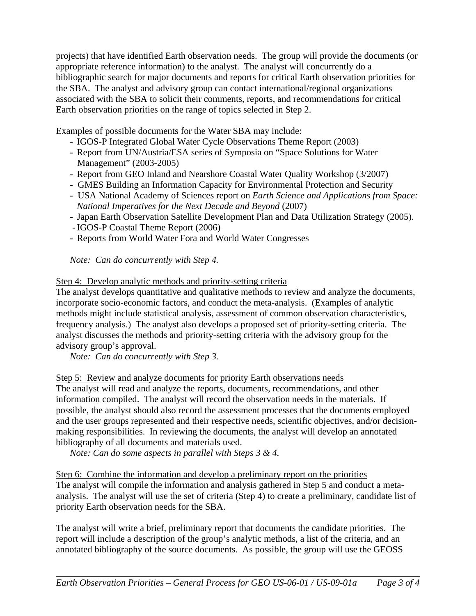projects) that have identified Earth observation needs. The group will provide the documents (or appropriate reference information) to the analyst. The analyst will concurrently do a bibliographic search for major documents and reports for critical Earth observation priorities for the SBA. The analyst and advisory group can contact international/regional organizations associated with the SBA to solicit their comments, reports, and recommendations for critical Earth observation priorities on the range of topics selected in Step 2.

Examples of possible documents for the Water SBA may include:

- IGOS-P Integrated Global Water Cycle Observations Theme Report (2003)
- Report from UN/Austria/ESA series of Symposia on "Space Solutions for Water Management" (2003-2005)
- Report from GEO Inland and Nearshore Coastal Water Quality Workshop (3/2007)
- GMES Building an Information Capacity for Environmental Protection and Security
- USA National Academy of Sciences report on *Earth Science and Applications from Space: National Imperatives for the Next Decade and Beyond* (2007)
- Japan Earth Observation Satellite Development Plan and Data Utilization Strategy (2005).
- IGOS-P Coastal Theme Report (2006)
- Reports from World Water Fora and World Water Congresses

*Note: Can do concurrently with Step 4.*

Step 4: Develop analytic methods and priority-setting criteria

The analyst develops quantitative and qualitative methods to review and analyze the documents, incorporate socio-economic factors, and conduct the meta-analysis. (Examples of analytic methods might include statistical analysis, assessment of common observation characteristics, frequency analysis.) The analyst also develops a proposed set of priority-setting criteria. The analyst discusses the methods and priority-setting criteria with the advisory group for the advisory group's approval.

 *Note: Can do concurrently with Step 3.* 

Step 5: Review and analyze documents for priority Earth observations needs

The analyst will read and analyze the reports, documents, recommendations, and other information compiled. The analyst will record the observation needs in the materials. If possible, the analyst should also record the assessment processes that the documents employed and the user groups represented and their respective needs, scientific objectives, and/or decisionmaking responsibilities. In reviewing the documents, the analyst will develop an annotated bibliography of all documents and materials used.

 *Note: Can do some aspects in parallel with Steps 3 & 4.* 

Step 6: Combine the information and develop a preliminary report on the priorities The analyst will compile the information and analysis gathered in Step 5 and conduct a metaanalysis. The analyst will use the set of criteria (Step 4) to create a preliminary, candidate list of priority Earth observation needs for the SBA.

The analyst will write a brief, preliminary report that documents the candidate priorities. The report will include a description of the group's analytic methods, a list of the criteria, and an annotated bibliography of the source documents. As possible, the group will use the GEOSS